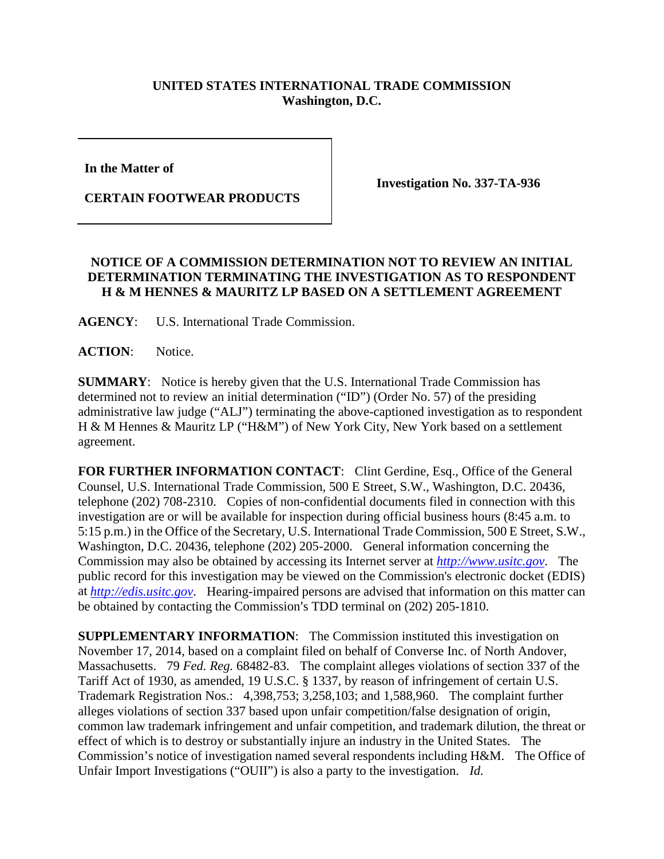## **UNITED STATES INTERNATIONAL TRADE COMMISSION Washington, D.C.**

**In the Matter of** 

**CERTAIN FOOTWEAR PRODUCTS**

**Investigation No. 337-TA-936**

## **NOTICE OF A COMMISSION DETERMINATION NOT TO REVIEW AN INITIAL DETERMINATION TERMINATING THE INVESTIGATION AS TO RESPONDENT H & M HENNES & MAURITZ LP BASED ON A SETTLEMENT AGREEMENT**

**AGENCY**: U.S. International Trade Commission.

**ACTION**: Notice.

**SUMMARY**: Notice is hereby given that the U.S. International Trade Commission has determined not to review an initial determination ("ID") (Order No. 57) of the presiding administrative law judge ("ALJ") terminating the above-captioned investigation as to respondent H & M Hennes & Mauritz LP ("H&M") of New York City, New York based on a settlement agreement.

FOR FURTHER INFORMATION CONTACT: Clint Gerdine, Esq., Office of the General Counsel, U.S. International Trade Commission, 500 E Street, S.W., Washington, D.C. 20436, telephone (202) 708-2310. Copies of non-confidential documents filed in connection with this investigation are or will be available for inspection during official business hours (8:45 a.m. to 5:15 p.m.) in the Office of the Secretary, U.S. International Trade Commission, 500 E Street, S.W., Washington, D.C. 20436, telephone (202) 205-2000. General information concerning the Commission may also be obtained by accessing its Internet server at *[http://www.usitc.gov](http://www.usitc.gov/)*. The public record for this investigation may be viewed on the Commission's electronic docket (EDIS) at *[http://edis.usitc.gov](http://edis.usitc.gov/)*. Hearing-impaired persons are advised that information on this matter can be obtained by contacting the Commission's TDD terminal on (202) 205-1810.

**SUPPLEMENTARY INFORMATION:** The Commission instituted this investigation on November 17, 2014, based on a complaint filed on behalf of Converse Inc. of North Andover, Massachusetts. 79 *Fed. Reg.* 68482-83. The complaint alleges violations of section 337 of the Tariff Act of 1930, as amended, 19 U.S.C. § 1337, by reason of infringement of certain U.S. Trademark Registration Nos.: 4,398,753; 3,258,103; and 1,588,960. The complaint further alleges violations of section 337 based upon unfair competition/false designation of origin, common law trademark infringement and unfair competition, and trademark dilution, the threat or effect of which is to destroy or substantially injure an industry in the United States. The Commission's notice of investigation named several respondents including H&M. The Office of Unfair Import Investigations ("OUII") is also a party to the investigation. *Id.*